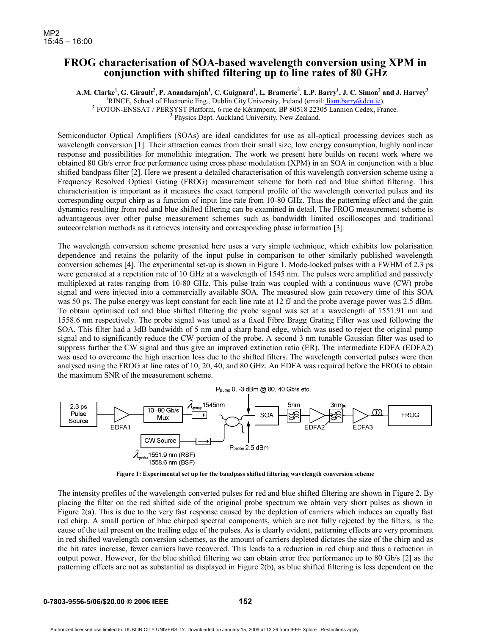## **FROG characterisation of SOA-based wavelength conversion using XPM in conjunction with shifted filtering up to line rates of 80 GHz**

 $A.M.$  Clarke<sup>1</sup>, G. Girault<sup>2</sup>, P. Anandarajah<sup>1</sup>, C. Guignard<sup>1</sup>, L. Bramerie<sup>2</sup>, L.P. Barry<sup>1</sup>, J. C. Simon<sup>2</sup> and J. Harvey<sup>3</sup>

<sup>1</sup>RINCE, School of Electronic Eng., Dublin City University, Ireland (email: <u>liam.barry@dcu.ie)</u>.<br><sup>2</sup> FOTON ENSSAT (BERSVST Blatform, 6 rue de Kéremport, BR 20518 22205 Lappion Codey, Fre

FOTON-ENSSAT / PERSYST Platform, 6 rue de Kérampont, BP 80518 22305 Lannion Cedex, France. **<sup>3</sup>**

<sup>3</sup> Physics Dept. Auckland University, New Zealand.

Semiconductor Optical Amplifiers (SOAs) are ideal candidates for use as all-optical processing devices such as wavelength conversion [1]. Their attraction comes from their small size, low energy consumption, highly nonlinear response and possibilities for monolithic integration. The work we present here builds on recent work where we obtained 80 Gb/s error free performance using cross phase modulation (XPM) in an SOA in conjunction with a blue shifted bandpass filter [2]. Here we present a detailed characterisation of this wavelength conversion scheme using a Frequency Resolved Optical Gating (FROG) measurement scheme for both red and blue shifted filtering. This characterisation is important as it measures the exact temporal profile of the wavelength converted pulses and its corresponding output chirp as a function of input line rate from 10-80 GHz. Thus the patterning effect and the gain dynamics resulting from red and blue shifted filtering can be examined in detail. The FROG measurement scheme is advantageous over other pulse measurement schemes such as bandwidth limited oscilloscopes and traditional autocorrelation methods as it retrieves intensity and corresponding phase information [3].

The wavelength conversion scheme presented here uses a very simple technique, which exhibits low polarisation dependence and retains the polarity of the input pulse in comparison to other similarly published wavelength conversion schemes [4]. The experimental set-up is shown in Figure 1. Mode-locked pulses with a FWHM of 2.3 ps were generated at a repetition rate of 10 GHz at a wavelength of 1545 nm. The pulses were amplified and passively multiplexed at rates ranging from 10-80 GHz. This pulse train was coupled with a continuous wave (CW) probe signal and were injected into a commercially available SOA. The measured slow gain recovery time of this SOA was 50 ps. The pulse energy was kept constant for each line rate at 12 fJ and the probe average power was 2.5 dBm. To obtain optimised red and blue shifted filtering the probe signal was set at a wavelength of 1551.91 nm and 1558.6 nm respectively. The probe signal was tuned as a fixed Fibre Bragg Grating Filter was used following the SOA. This filter had a 3dB bandwidth of 5 nm and a sharp band edge, which was used to reject the original pump signal and to significantly reduce the CW portion of the probe. A second 3 nm tunable Gaussian filter was used to suppress further the CW signal and thus give an improved extinction ratio (ER). The intermediate EDFA (EDFA2) was used to overcome the high insertion loss due to the shifted filters. The wavelength converted pulses were then analysed using the FROG at line rates of 10, 20, 40, and 80 GHz. An EDFA was required before the FROG to obtain the maximum SNR of the measurement scheme.



**Figure 1: Experimental set up for the bandpass shifted filtering wavelength conversion scheme** 

The intensity profiles of the wavelength converted pulses for red and blue shifted filtering are shown in Figure 2. By placing the filter on the red shifted side of the original probe spectrum we obtain very short pulses as shown in Figure  $2(a)$ . This is due to the very fast response caused by the depletion of carriers which induces an equally fast red chirp. A small portion of blue chirped spectral components, which are not fully rejected by the filters, is the cause of the tail present on the trailing edge of the pulses. As is clearly evident, patterning effects are very prominent in red shifted wavelength conversion schemes, as the amount of carriers depleted dictates the size of the chirp and as the bit rates increase, fewer carriers have recovered. This leads to a reduction in red chirp and thus a reduction in output power. However, for the blue shifted filtering we can obtain error free performance up to 80 Gb/s [2] as the patterning effects are not as substantial as displayed in Figure 2(b), as blue shifted filtering is less dependent on the